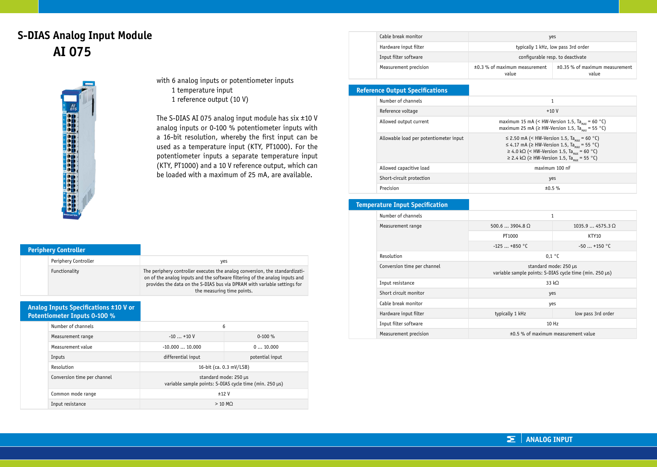# **S-DIAS Analog Input Module AI 075**



with 6 analog inputs or potentiometer inputs 1 temperature input 1 reference output (10 V)

The S-DIAS AI 075 analog input module has  $six \pm 10 V$ analog inputs or 0-100 % potentiometer inputs with a 16-bit resolution, whereby the first input can be used as a temperature input (KTY, PT1000). For the potentiometer inputs a separate temperature input (KTY, PT1000) and a 10 V reference output, which can be loaded with a maximum of 25 mA, are available.

| <b>Periphery Controller</b> |                      |                                                                                                                                                                                                                                                                      |
|-----------------------------|----------------------|----------------------------------------------------------------------------------------------------------------------------------------------------------------------------------------------------------------------------------------------------------------------|
|                             | Periphery Controller | yes                                                                                                                                                                                                                                                                  |
|                             | Functionality        | The periphery controller executes the analog conversion, the standardizati-<br>on of the analog inputs and the software filtering of the analog inputs and<br>provides the data on the S-DIAS bus via DPRAM with variable settings for<br>the measuring time points. |

#### **Analog Inputs Specifications ±10 V or Potentiometer Inputs 0-100 %**

| Number of channels          | 6                  |                                                                                  |  |
|-----------------------------|--------------------|----------------------------------------------------------------------------------|--|
| Measurement range           | $-10+10V$          | $0-100%$                                                                         |  |
| Measurement value           | $-10.00010.000$    | 010.000                                                                          |  |
| Inputs                      | differential input | potential input                                                                  |  |
| Resolution                  |                    | 16-bit (ca. 0.3 mV/LSB)                                                          |  |
| Conversion time per channel |                    | standard mode: 250 µs<br>variable sample points: S-DIAS cycle time (min. 250 µs) |  |
| Common mode range           |                    | ±12V                                                                             |  |
| Input resistance            |                    | $>10$ MO                                                                         |  |

| Cable break monitor   | yes                                    |                                              |
|-----------------------|----------------------------------------|----------------------------------------------|
| Hardware input filter | typically 1 kHz, low pass 3rd order    |                                              |
| Input filter software | configurable resp. to deactivate       |                                              |
| Measurement precision | ±0.3 % of maximum measurement<br>value | $\pm 0.35$ % of maximum measurement<br>value |

### **Reference Output Specifications**

| Number of channels                     | 1                                                                                                                                                                                                                                     |
|----------------------------------------|---------------------------------------------------------------------------------------------------------------------------------------------------------------------------------------------------------------------------------------|
| Reference voltage                      | $+10V$                                                                                                                                                                                                                                |
| Allowed output current                 | maximum 15 mA (< HW-Version 1.5, Ta <sub>uy</sub> = 60 °C)<br>maximum 25 mA ( $\geq$ HW-Version 1.5, Ta <sub>un</sub> = 55 °C)                                                                                                        |
| Allowable load per potentiometer input | ≤ 2.50 mA (< HW-Version 1.5, Ta <sub>MAY</sub> = 60 °C)<br>≤ 4.17 mA (≥ HW-Version 1.5, Ta <sub>max</sub> = 55 °C)<br>≥ 4.0 kΩ (< HW-Version 1.5, Ta <sub>MAY</sub> = 60 °C)<br>≥ 2.4 kΩ (≥ HW-Version 1.5, Ta <sub>uy</sub> = 55 °C) |
| Allowed capacitive load                | maximum 100 nF                                                                                                                                                                                                                        |
| Short-circuit protection               | yes                                                                                                                                                                                                                                   |
| Precision                              | ±0.5%                                                                                                                                                                                                                                 |

#### **Temperature Input Specification**

|                       | Number of channels          | $\mathbf{1}$                                                                     |                                          |
|-----------------------|-----------------------------|----------------------------------------------------------------------------------|------------------------------------------|
|                       | Measurement range           | $500.63904.8$ O                                                                  | $1035.94575.3$ O                         |
|                       |                             | PT1000                                                                           | KTY10                                    |
|                       |                             | $-125+850$ °C                                                                    | $-50+150$ °C                             |
|                       | Resolution                  | 0.1 °C                                                                           |                                          |
|                       | Conversion time per channel | standard mode: 250 µs<br>variable sample points: S-DIAS cycle time (min. 250 µs) |                                          |
|                       | Input resistance            |                                                                                  | 33 kO                                    |
|                       | Short circuit monitor       | yes                                                                              |                                          |
|                       | Cable break monitor         | yes                                                                              |                                          |
|                       | Hardware input filter       | typically 1 kHz                                                                  | low pass 3rd order                       |
|                       | Input filter software       | 10Hz                                                                             |                                          |
| Measurement precision |                             |                                                                                  | $\pm 0.5$ % of maximum measurement value |